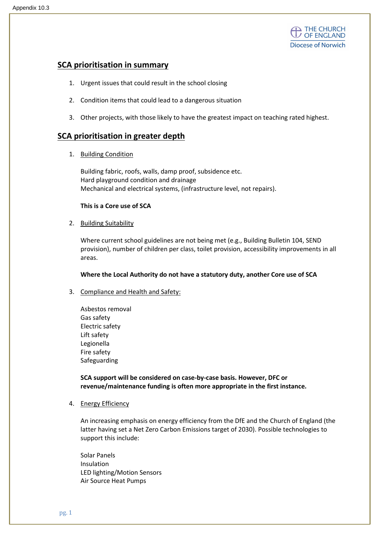

# SCA prioritisation in summary

- 1. Urgent issues that could result in the school closing
- 2. Condition items that could lead to a dangerous situation
- 3. Other projects, with those likely to have the greatest impact on teaching rated highest.

## SCA prioritisation in greater depth

1. Building Condition

Building fabric, roofs, walls, damp proof, subsidence etc. Hard playground condition and drainage Mechanical and electrical systems, (infrastructure level, not repairs).

#### This is a Core use of SCA

2. Building Suitability

Where current school guidelines are not being met (e.g., Building Bulletin 104, SEND provision), number of children per class, toilet provision, accessibility improvements in all areas.

#### Where the Local Authority do not have a statutory duty, another Core use of SCA

- 3. Compliance and Health and Safety:
	- Asbestos removal Gas safety Electric safety Lift safety Legionella Fire safety Safeguarding

SCA support will be considered on case-by-case basis. However, DFC or revenue/maintenance funding is often more appropriate in the first instance.

4. Energy Efficiency

An increasing emphasis on energy efficiency from the DfE and the Church of England (the latter having set a Net Zero Carbon Emissions target of 2030). Possible technologies to support this include:

Solar Panels Insulation LED lighting/Motion Sensors Air Source Heat Pumps